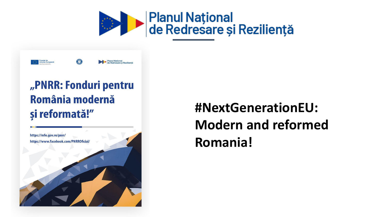



### "PNRR: Fonduri pentru România modernă și reformată!"



### **#NextGenerationEU: Modern and reformed Romania!**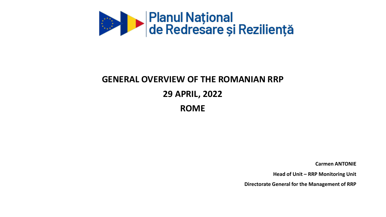

### **GENERAL OVERVIEW OF THE ROMANIAN RRP 29 APRIL, 2022 ROME**

**Carmen ANTONIE**

**Head of Unit – RRP Monitoring Unit**

**Directorate General for the Management of RRP**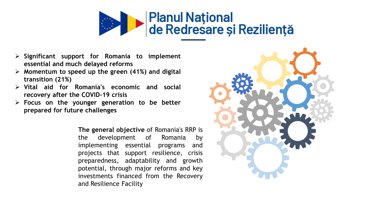

- ➢ **Significant support for Romania to implement essential and much delayed reforms**
- ➢ **Momentum to speed up the green (41%) and digital transition (21%)**
- ➢ **Vital aid for Romania's economic and social recovery after the COVID-19 crisis**
- ➢ **Focus on the younger generation to be better prepared for future challenges**

**The general objective** of Romania's RRP is the development of Romania by implementing essential programs and projects that support resilience, crisis preparedness, adaptability and growth potential, through major reforms and key investments financed from the Recovery and Resilience Facility

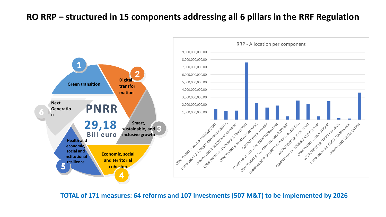#### **RO RRP – structured in 15 components addressing all 6 pillars in the RRF Regulation**



**TOTAL of 171 measures: 64 reforms and 107 investments (507 M&T) to be implemented by 2026**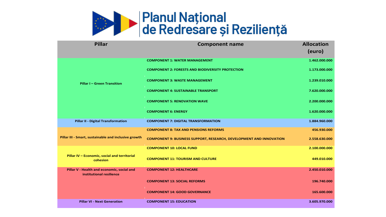

| <b>Pillar</b>                                                          | <b>Component name</b>                                                      | <b>Allocation</b><br>(euro) |
|------------------------------------------------------------------------|----------------------------------------------------------------------------|-----------------------------|
| <b>Pillar I - Green Transition</b>                                     | <b>COMPONENT 1: WATER MANAGEMENT</b>                                       | 1.462.000.000               |
|                                                                        | <b>COMPONENT 2: FORESTS AND BIODIVERSITY PROTECTION</b>                    | 1.173.000.000               |
|                                                                        | <b>COMPONENT 3: WASTE MANAGEMENT</b>                                       | 1.239.010.000               |
|                                                                        | <b>COMPONENT 4: SUSTAINABLE TRANSPORT</b>                                  | 7.620.000.000               |
|                                                                        | <b>COMPONENT 5: RENOVATION WAVE</b>                                        | 2.200.000.000               |
|                                                                        | <b>COMPONENT 6: ENERGY</b>                                                 | 1.620.000.000               |
| Pillar II - Digital Transformation                                     | <b>COMPONENT 7: DIGITAL TRANSFORMATION</b>                                 | 1.884.960.000               |
| Pillar III - Smart, sustainable and inclusive growth                   | <b>COMPONENT 8: TAX AND PENSIONS REFORMS</b>                               | 456.930.000                 |
|                                                                        | <b>COMPONENT 9: BUSINESS SUPPORT, RESEARCH, DEVELOPMENT AND INNOVATION</b> | 2.558.630.000               |
|                                                                        | <b>COMPONENT 10: LOCAL FUND</b>                                            | 2.100.000.000               |
| Pillar IV - Economic, social and territorial<br>cohesion               | <b>COMPONENT 11: TOURISM AND CULTURE</b>                                   | 449.010.000                 |
| Pillar V - Health and economic, social and<br>institutional resilience | <b>COMPONENT 12: HEALTHCARE</b>                                            | 2.450.010.000               |
|                                                                        | <b>COMPONENT 13: SOCIAL REFORMS</b>                                        | 196.740.000                 |
|                                                                        | <b>COMPONENT 14: GOOD GOVERNANCE</b>                                       | 165.600.000                 |
| <b>Pillar VI - Next Generation</b>                                     | <b>COMPONENT 15: EDUCATION</b>                                             | 3.605.970.000               |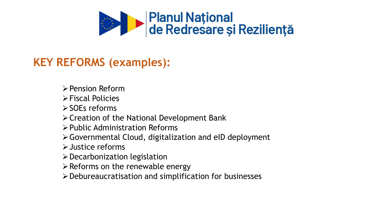

#### **KEY REFORMS (examples):**

- ➢Pension Reform
- ➢Fiscal Policies
- ➢SOEs reforms
- ➢Creation of the National Development Bank
- ➢Public Administration Reforms
- ➢Governmental Cloud, digitalization and eID deployment
- ➢Justice reforms
- ➢Decarbonization legislation
- $\triangleright$  Reforms on the renewable energy
- ➢Debureaucratisation and simplification for businesses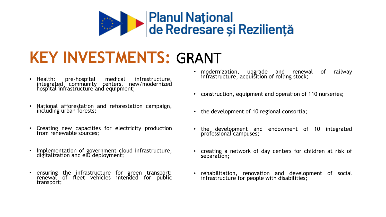

# **KEY INVESTMENTS:** GRANT

- Health: pre-hospital medical infrastructure, integrated community centers, new/modernized hospital infrastructure and equipment;
- National afforestation and reforestation campaign, including urban forests;
- Creating new capacities for electricity production from renewable sources:
- Implementation of government cloud infrastructure, digitalization and eID deployment;
- ensuring the infrastructure for green transport: renewal of fleet vehicles intended for public transport;
- modernization, upgrade and renewal of railway infrastructure, acquisition of rolling stock;
- construction, equipment and operation of 110 nurseries;
- the development of 10 regional consortia;
- the development and endowment of 10 integrated professional campuses;
- creating a network of day centers for children at risk of separation;
- rehabilitation, renovation and development of social infrastructure for people with disabilities;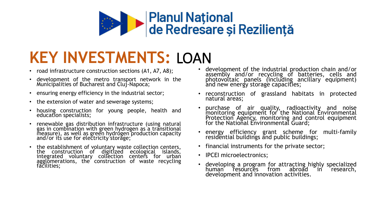

# **KEY INVESTMENTS:** LOAN

- road infrastructure construction sections (A1, A7, A8);
- development of the metro transport network in the Municipalities of Bucharest and Cluj-Napoca;
- ensuring energy efficiency in the industrial sector;
- the extension of water and sewerage systems;
- housing construction for young people, health and education specialists;
- renewable gas distribution infrastructure (using natural gas in combination with green hydrogen as a transitional measure), as well as green hydrogen production capacity and/or its use for electricity storage;
- the establishment of voluntary waste collection centers, the construction of digitized ecological islands, integrated voluntary collection centers for urban agglomerations, the construction of waste recycling facilities;
- development of the industrial production chain and/or assembly and/or recycling of batteries, cells and photovoltaic panels (including ancillary equipment) and new energy storage capacities;
- reconstruction of grassland habitats in protected natural areas;
- purchase of air quality, radioactivity and noise monitoring equipment for the National Environmental Protection Agency, monitoring and control equipment for the National Environmental Guard;
- energy efficiency grant scheme for multi-family residential buildings and public buildings;
- financial instruments for the private sector;
- **IPCEI** microelectronics;
- developing a program for attracting highly specialized human resources from abroad in development and innovation activities.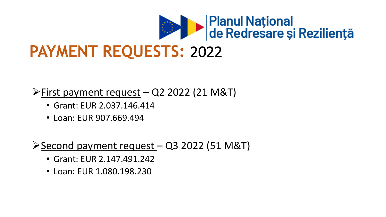

## **PAYMENT REQUESTS:** 2022

➢First payment request – Q2 2022 (21 M&T)

- Grant: EUR 2.037.146.414
- Loan: EUR 907.669.494

➢Second payment request – Q3 2022 (51 M&T)

- Grant: EUR 2.147.491.242
- Loan: EUR 1.080.198.230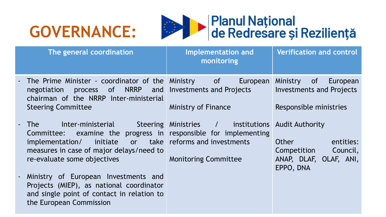## **GOVERNANCE:**



| The general coordination                                                                                                                                                    | <b>Implementation and</b><br>monitoring                              | <b>Verification and control</b>                     |
|-----------------------------------------------------------------------------------------------------------------------------------------------------------------------------|----------------------------------------------------------------------|-----------------------------------------------------|
| - The Prime Minister - coordinator of the Ministry of<br>process of NRRP and Investments and Projects<br>negotiation<br>chairman of the NRRP Inter-ministerial              | European                                                             | Ministry of<br>European<br>Investments and Projects |
| <b>Steering Committee</b>                                                                                                                                                   | <b>Ministry of Finance</b>                                           | Responsible ministries                              |
| - The<br>Committee: examine the progress in responsible for implementing                                                                                                    | Inter-ministerial Steering Ministries / institutions Audit Authority |                                                     |
| implementation/<br>measures in case of major delays/need to                                                                                                                 | initiate or take reforms and investments                             | Other<br>entities:<br>Competition Council,          |
| re-evaluate some objectives                                                                                                                                                 | <b>Monitoring Committee</b>                                          | ANAP, DLAF, OLAF, ANI,<br>EPPO, DNA                 |
| Ministry of European Investments and<br>$\blacksquare$<br>Projects (MIEP), as national coordinator<br>and single point of contact in relation to<br>the European Commission |                                                                      |                                                     |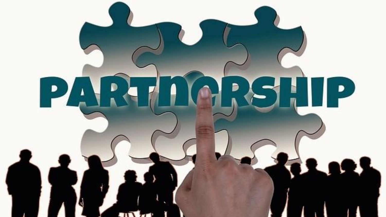